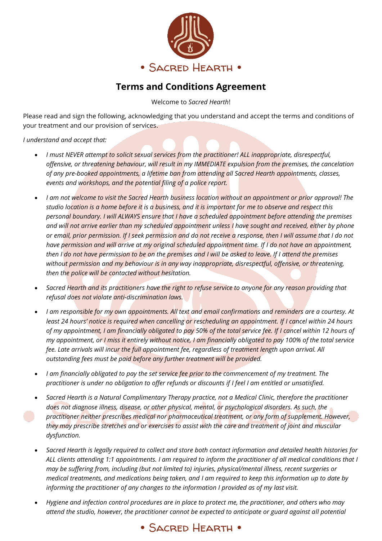

## **Terms and Conditions Agreement**

Welcome to *Sacred Hearth*!

Please read and sign the following, acknowledging that you understand and accept the terms and conditions of your treatment and our provision of services.

*I understand and accept that:*

- *I must NEVER attempt to solicit sexual services from the practitioner! ALL inappropriate, disrespectful, offensive, or threatening behaviour, will result in my IMMEDIATE expulsion from the premises, the cancelation of any pre-booked appointments, a lifetime ban from attending all Sacred Hearth appointments, classes, events and workshops, and the potential filing of a police report.*
- *I am not welcome to visit the Sacred Hearth business location without an appointment or prior approval! The studio location is a home before it is a business, and it is important for me to observe and respect this personal boundary. I will ALWAYS ensure that I have a scheduled appointment before attending the premises and will not arrive earlier than my scheduled appointment unless I have sought and received, either by phone or email, prior permission. If I seek permission and do not receive a response, then I will assume that I do not have permission and will arrive at my original scheduled appointment time. If I do not have an appointment, then I do not have permission to be on the premises and I will be asked to leave. If I attend the premises without permission and my behaviour is in any way inappropriate, disrespectful, offensive, or threatening, then the police will be contacted without hesitation.*
- *Sacred Hearth and its practitioners have the right to refuse service to anyone for any reason providing that refusal does not violate anti-discrimination laws.*
- *I am responsible for my own appointments. All text and email confirmations and reminders are a courtesy. At least 24 hours' notice is required when cancelling or rescheduling an appointment. If I cancel within 24 hours of my appointment, I am financially obligated to pay 50% of the total service fee. If I cancel within 12 hours of my appointment, or I miss it entirely without notice, I am financially obligated to pay 100% of the total service fee. Late arrivals will incur the full appointment fee, regardless of treatment length upon arrival. All outstanding fees must be paid before any further treatment will be provided.*
- *I am financially obligated to pay the set service fee prior to the commencement of my treatment. The practitioner is under no obligation to offer refunds or discounts if I feel I am entitled or unsatisfied.*
- *Sacred Hearth is a Natural Complimentary Therapy practice, not a Medical Clinic, therefore the practitioner does not diagnose illness, disease, or other physical, mental, or psychological disorders. As such, the practitioner neither prescribes medical nor pharmaceutical treatment, or any form of supplement. However, they may prescribe stretches and or exercises to assist with the care and treatment of joint and muscular dysfunction.*
- *Sacred Hearth is legally required to collect and store both contact information and detailed health histories for ALL clients attending 1:1 appointments. I am required to inform the practitioner of all medical conditions that I may be suffering from, including (but not limited to) injuries, physical/mental illness, recent surgeries or medical treatments, and medications being taken, and I am required to keep this information up to date by informing the practitioner of any changes to the information I provided as of my last visit.*
- *Hygiene and infection control procedures are in place to protect me, the practitioner, and others who may attend the studio, however, the practitioner cannot be expected to anticipate or guard against all potential*

## • SACRED HEARTH •